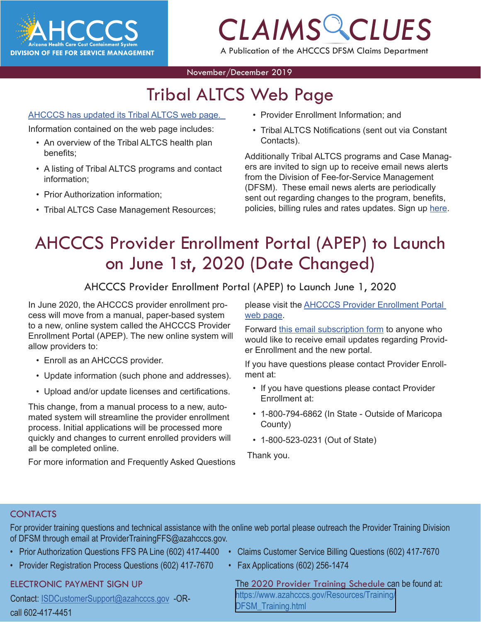

# *CLAIMS CLUES*

A Publication of the AHCCCS DFSM Claims Department

#### November/December 2019

### Tribal ALTCS Web Page

#### AHCCCS has updated its Tribal ALTCS web page[.](https://www.azahcccs.gov/PlansProviders/FeeForServiceHealthPlans/ProgramsAndPopulations/longtermcarecasemanagement.html)

Information contained on the web page includes:

- An overview of the Tribal ALTCS health plan benefits;
- A listing of Tribal ALTCS programs and contact information;
- Prior Authorization information;
- Tribal ALTCS Case Management Resources;
- **CLAIMS COMPTER**<br>
Vider Enrollment Information; and<br>
ClaimS Constant in Constant • Provider Enrollment Information; and
- [Tribal ALTCS Notifications](https://www.azahcccs.gov/PlansProviders/FeeForServiceHealthPlans/ProgramsAndPopulations/tribalaltcsnotifications.html) (sent out via Constant Contacts).

Additionally Tribal ALTCS programs and Case Managers are invited to sign up to receive email news alerts from the Division of Fee-for-Service Management (DFSM). These email news alerts are periodically sent out regarding changes to the program, benefits, policies, billing rules and rates updates. Sign up [here.](https://visitor.r20.constantcontact.com/manage/optin?v=001gF-kjPbNwUl4qTFXa25yg7PI-lJiYCg93XrtPtORBVs5LfBVH0-8vbcm12yD-2XXtSsqiYUBOmMmlkrI8ahm_2YiyBfBDlwfmRmEGrovUOSP6DcA-KbmT-Ql0Lmk0PExgqaWuvz6fV2kNwVjevvO11fbEYfxSl5MtPdTd_x0b-d44ezL3scdyI-S4QgYEsLUgwtSDvtSPxE%3D)

### AHCCCS Provider Enrollment Portal (APEP) to Launch on June 1st, 2020 (Date Changed)

AHCCCS Provider Enrollment Portal (APEP) to Launch June 1, 2020

In June 2020, the AHCCCS provider enrollment process will move from a manual, paper-based system to a new, online system called the AHCCCS Provider Enrollment Portal (APEP). The new online system will allow providers to:

- Enroll as an AHCCCS provider.
- Update information (such phone and addresses).
- Upload and/or update licenses and certifications.

This change, from a manual process to a new, automated system will streamline the provider enrollment process. Initial applications will be processed more quickly and changes to current enrolled providers will all be completed online.

For more information and Frequently Asked Questions

please visit the AHCCCS Provider Enrollment Portal web page.

Forward this email subscription form to anyone who would like to receive email updates regarding Provider Enrollment and the new portal.

If you have questions please contact Provider Enrollment at:

- If you have questions please contact Provider Enrollment at:
- 1-800-794-6862 (In State Outside of Maricopa County)
- 1-800-523-0231 (Out of State)

Thank you.

#### **CONTACTS**

For provider training questions and technical assistance with the online web portal please outreach the Provider Training Division of DFSM through email at ProviderTrainingFFS@azahcccs.gov.

- 
- Provider Registration Process Questions (602) 417-7670 Fax Applications (602) 256-1474

#### ELE[CTRONIC PAYMENT SIGN UP](mailto:ProviderTrainingFFS%40azahcccs.gov%20?subject=)

Co[ntact: ISDCustomerSupport@azahcccs.gov -OR](mailto:ProviderTrainingFFS%40azahcccs.gov%20?subject=)call 602-417-4451

- Prior Authorization Questions FFS PA Line (602) 417-4400 Claims Customer Service Billing Questions (602) 417-7670
	-

The 2020 Provider Training Schedule can be found at: https://www.azahcccs.gov/Resources/Training/ DFSM Training.html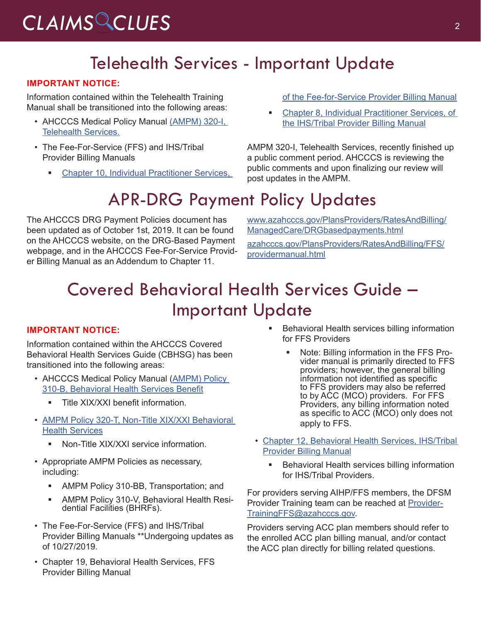# *CLAIMS CLUES* <sup>2</sup>

#### Telehealth Services - Important Update

#### **IMPORTANT NOTICE:**

Information contained within the Telehealth Training Manual shall be transitioned into the following areas:

- AHCCCS Medical Policy Manual [\(AMPM\) 320-I,](https://www.azahcccs.gov/shared/Downloads/MedicalPolicyManual/300/320-I.pdf) [Telehealth Services](https://www.azahcccs.gov/shared/Downloads/MedicalPolicyManual/300/320-I.pdf).
- The Fee-For-Service (FFS) and IHS/Tribal Provider Billing Manuals
	- **[Chapter 10, Individual Practitioner Services,](https://www.azahcccs.gov/PlansProviders/Downloads/FFSProviderManual/FFS_Chap10.pdf)**

[of the Fee-for-Service Provider Billing Manual](https://www.azahcccs.gov/PlansProviders/Downloads/FFSProviderManual/FFS_Chap10.pdf)

 [Chapter 8, Individual Practitioner Services, of](https://www.azahcccs.gov/PlansProviders/Downloads/IHS-TribalManual/IHS-Chap08IndivPractitionerSvcs.pdf) [the IHS/Tribal Provider Billing Manual](https://www.azahcccs.gov/PlansProviders/Downloads/IHS-TribalManual/IHS-Chap08IndivPractitionerSvcs.pdf)

AMPM 320-I, Telehealth Services, recently finished up a public comment period. AHCCCS is reviewing the public comments and upon finalizing our review will post updates in the AMPM.

### APR-DRG Payment Policy Updates

The AHCCCS DRG Payment Policies document has been updated as of October 1st, 2019. It can be found on the AHCCCS website, on the DRG-Based Payment webpage, and in the AHCCCS Fee-For-Service Provider Billing Manual as an Addendum to Chapter 11.

[www.azahcccs.gov/PlansProviders/RatesAndBilling/](https://www.azahcccs.gov/PlansProviders/RatesAndBilling/ManagedCare/DRGbasedpayments.html) [ManagedCare/DRGbasedpayments.html](https://www.azahcccs.gov/PlansProviders/RatesAndBilling/ManagedCare/DRGbasedpayments.html)

[azahcccs.gov/PlansProviders/RatesAndBilling/FFS/](https://azahcccs.gov/PlansProviders/RatesAndBilling/FFS/providermanual.html) [providermanual.html](https://azahcccs.gov/PlansProviders/RatesAndBilling/FFS/providermanual.html)

#### Covered Behavioral Health Services Guide – Important Update

#### **IMPORTANT NOTICE:**

Information contained within the AHCCCS Covered Behavioral Health Services Guide (CBHSG) has been transitioned into the following areas:

- AHCCCS Medical Policy Manual ([AMPM\) Policy](https://www.azahcccs.gov/shared/Downloads/MedicalPolicyManual/310B.pdf) [310-B, Behavioral Health Services Benefit](https://www.azahcccs.gov/shared/Downloads/MedicalPolicyManual/310B.pdf)
	- **Title XIX/XXI benefit information.**
- [AMPM Policy 320-T, Non-Title XIX/XXI Behavioral](https://www.azahcccs.gov/shared/Downloads/MedicalPolicyManual/320T.pdf) [Health Services](https://www.azahcccs.gov/shared/Downloads/MedicalPolicyManual/320T.pdf)
	- **Non-Title XIX/XXI service information.**
- Appropriate AMPM Policies as necessary, including:
	- **AMPM Policy 310-BB, Transportation; and**
	- AMPM Policy 310-V, Behavioral Health Residential Facilities (BHRFs).
- The Fee-For-Service (FFS) and IHS/Tribal Provider Billing Manuals \*\*Undergoing updates as of 10/27/2019.
- [Chapter 19, Behavioral Health Services, FFS](https://www.azahcccs.gov/shared/Downloads/MedicalPolicyManual/310B.pdf) [Provider Billing Manual](https://www.azahcccs.gov/shared/Downloads/MedicalPolicyManual/310B.pdf)
- **Behavioral Health services billing information** for FFS Providers
	- Note: Billing information in the FFS Provider manual is primarily directed to FFS providers; however, the general billing information not identified as specific to FFS providers may also be referred to by ACC (MCO) providers. For FFS Providers, any billing information noted as specific to ACC (MCO) only does not apply to FFS.
- [Chapter 12, Behavioral Health Services, IHS/Tribal](https://www.azahcccs.gov/PlansProviders/Downloads/IHS-TribalManual/IHS-Chap12BehavioralHealth.pdf) [Provider Billing Manual](https://www.azahcccs.gov/PlansProviders/Downloads/IHS-TribalManual/IHS-Chap12BehavioralHealth.pdf)
	- Behavioral Health services billing information for IHS/Tribal Providers.

For providers serving AIHP/FFS members, the DFSM Provider Training team can be reached at [Provider-](mailto:ProviderTrainingFFS@azahcccs.gov)[TrainingFFS@azahcccs.gov.](mailto:ProviderTrainingFFS@azahcccs.gov)

Providers serving ACC plan members should refer to the enrolled ACC plan billing manual, and/or contact the ACC plan directly for billing related questions.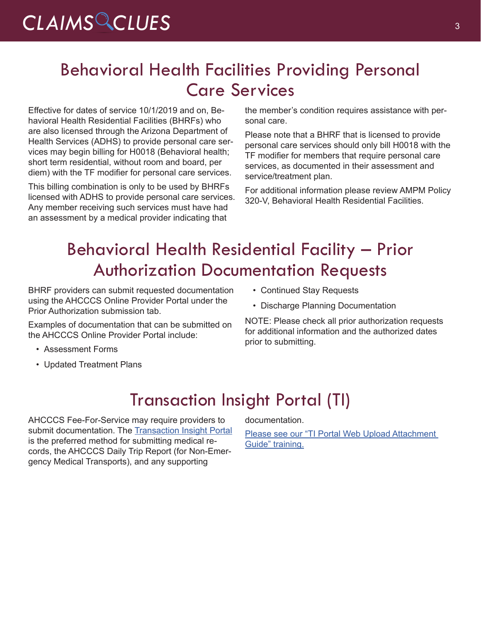### Behavioral Health Facilities Providing Personal Care Services

Effective for dates of service 10/1/2019 and on, Behavioral Health Residential Facilities (BHRFs) who are also licensed through the Arizona Department of Health Services (ADHS) to provide personal care services may begin billing for H0018 (Behavioral health; short term residential, without room and board, per diem) with the TF modifier for personal care services.

This billing combination is only to be used by BHRFs licensed with ADHS to provide personal care services. Any member receiving such services must have had an assessment by a medical provider indicating that

the member's condition requires assistance with personal care.

Please note that a BHRF that is licensed to provide personal care services should only bill H0018 with the TF modifier for members that require personal care services, as documented in their assessment and service/treatment plan.

For additional information please review [AMPM Policy](https://www.azahcccs.gov/shared/Downloads/MedicalPolicyManual/300/320v.pdf)  [320-V, Behavioral Health Residential Facilities.](https://www.azahcccs.gov/shared/Downloads/MedicalPolicyManual/300/320v.pdf)

### Behavioral Health Residential Facility – Prior Authorization Documentation Requests

BHRF providers can submit requested documentation using the AHCCCS Online Provider Portal under the Prior Authorization submission tab.

Examples of documentation that can be submitted on the AHCCCS Online Provider Portal include:

- Assessment Forms
- Updated Treatment Plans
- Continued Stay Requests
- Discharge Planning Documentation

NOTE: Please check all prior authorization requests for additional information and the authorized dates prior to submitting.

#### Transaction Insight Portal (TI)

AHCCCS Fee-For-Service may require providers to submit documentation. The [Transaction Insight Portal](https://tiwebprd.statemedicaid.us/AHCCCS/default.aspx?ReturnUrl=%2fAHCCCS%2f) is the preferred method for submitting medical records, the AHCCCS Daily Trip Report (for Non-Emergency Medical Transports), and any supporting

documentation.

[Please see our "TI Portal Web Upload Attachment](https://www.azahcccs.gov/Resources/Downloads/DFMSTraining/2018/TransactionInsight_TI_PortalWebUploadAttachmentGuide.pdfhttp://)  [Guide" training.](https://www.azahcccs.gov/Resources/Downloads/DFMSTraining/2018/TransactionInsight_TI_PortalWebUploadAttachmentGuide.pdfhttp://)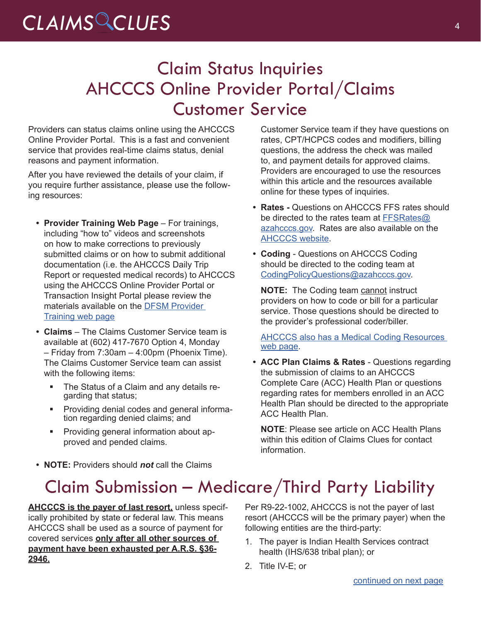## *CLAIMS CLUES* <sup>4</sup>

### Claim Status Inquiries AHCCCS Online Provider Portal/Claims Customer Service

Providers can status claims online using the AHCCCS Online Provider Portal. This is a fast and convenient service that provides real-time claims status, denial reasons and payment information.

After you have reviewed the details of your claim, if you require further assistance, please use the following resources:

- **• Provider Training Web Page** For trainings, including "how to" videos and screenshots on how to make corrections to previously submitted claims or on how to submit additional documentation (i.e. the AHCCCS Daily Trip Report or requested medical records) to AHCCCS using the AHCCCS Online Provider Portal or Transaction Insight Portal please review the materials available on the [DFSM Provider](https://www.azahcccs.gov/Resources/Training/DFSM_Training.html)  [Training web page](https://www.azahcccs.gov/Resources/Training/DFSM_Training.html)
- **• Claims** The Claims Customer Service team is available at (602) 417-7670 Option 4, Monday – Friday from 7:30am – 4:00pm (Phoenix Time). The Claims Customer Service team can assist with the following items:
	- The Status of a Claim and any details re- garding that status;
	- Providing denial codes and general informa- tion regarding denied claims; and
	- Providing general information about approved and pended claims.

**• Rates -** Questions on AHCCCS FFS rates should be directed to the rates team at [FFSRates@](mailto:FFSRates@azahcccs.gov) [azahcccs.gov.](mailto:FFSRates@azahcccs.gov) Rates are also available on the [AHCCCS website.](https://www.azahcccs.gov/PlansProviders/RatesAndBilling/FFS/) **• Coding** - Questions on AHCCCS Coding

online for these types of inquiries.

should be directed to the coding team at [CodingPolicyQuestions@azahcccs.gov.](mailto:CodingPolicyQuestions@azahcccs.gov)

**NOTE:** The Coding team cannot instruct providers on how to code or bill for a particular service. Those questions should be directed to the provider's professional coder/biller.

Customer Service team if they have questions on rates, CPT/HCPCS codes and modifiers, billing questions, the address the check was mailed to, and payment details for approved claims. Providers are encouraged to use the resources within this article and the resources available

[AHCCCS also has a Medical Coding Resources](https://www.azahcccs.gov/PlansProviders/MedicalCodingResources.html
)  [web page.](https://www.azahcccs.gov/PlansProviders/MedicalCodingResources.html
)

**• ACC Plan Claims & Rates** - Questions regarding the submission of claims to an AHCCCS Complete Care (ACC) Health Plan or questions regarding rates for members enrolled in an ACC Health Plan should be directed to the appropriate ACC Health Plan.

**NOTE**: Please see article on ACC Health Plans within this edition of Claims Clues for contact information.

**• NOTE:** Providers should *not* call the Claims

### Claim Submission – Medicare/Third Party Liability

**AHCCCS is the payer of last resort,** unless specifically prohibited by state or federal law. This means AHCCCS shall be used as a source of payment for covered services **only after all other sources of payment have been exhausted per A.R.S. §36- 2946.**

Per R9-22-1002, AHCCCS is not the payer of last resort (AHCCCS will be the primary payer) when the following entities are the third-party:

- 1. The payer is Indian Health Services contract health (IHS/638 tribal plan); or
- 2. Title IV-E; or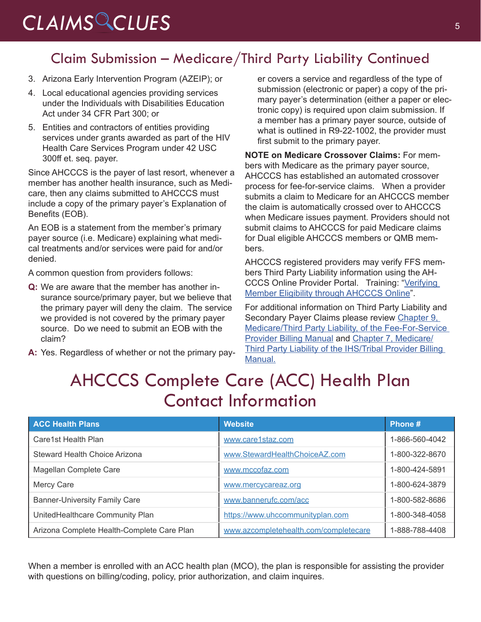# <span id="page-4-0"></span>CLAIMS CLUES<sup>5</sup>

#### Claim Submission – Medicare/Third Party Liability Continued

- 3. Arizona Early Intervention Program (AZEIP); or
- 4. Local educational agencies providing services under the Individuals with Disabilities Education Act under 34 CFR Part 300; or
- 5. Entities and contractors of entities providing services under grants awarded as part of the HIV Health Care Services Program under 42 USC 300ff et. seq. payer.

Since AHCCCS is the payer of last resort, whenever a member has another health insurance, such as Medicare, then any claims submitted to AHCCCS must include a copy of the primary payer's Explanation of Benefits (EOB).

An EOB is a statement from the member's primary payer source (i.e. Medicare) explaining what medical treatments and/or services were paid for and/or denied.

A common question from providers follows:

- **Q:** We are aware that the member has another insurance source/primary payer, but we believe that the primary payer will deny the claim. The service we provided is not covered by the primary payer source. Do we need to submit an EOB with the claim?
- **A:** Yes. Regardless of whether or not the primary pay-

er covers a service and regardless of the type of submission (electronic or paper) a copy of the primary payer's determination (either a paper or electronic copy) is required upon claim submission. If a member has a primary payer source, outside of what is outlined in R9-22-1002, the provider must first submit to the primary payer.

**NOTE on Medicare Crossover Claims:** For members with Medicare as the primary payer source, AHCCCS has established an automated crossover process for fee-for-service claims. When a provider submits a claim to Medicare for an AHCCCS member the claim is automatically crossed over to AHCCCS when Medicare issues payment. Providers should not submit claims to AHCCCS for paid Medicare claims for Dual eligible AHCCCS members or QMB members.

AHCCCS registered providers may verify FFS members Third Party Liability information using the AH-CCCS Online Provider Portal. Training: "[Verifying](https://www.azahcccs.gov/Resources/Downloads/DFMSTraining/2018/MemberEligibility.pdf)  [Member Eligibility through AHCCCS Online](https://www.azahcccs.gov/Resources/Downloads/DFMSTraining/2018/MemberEligibility.pdf)".

For additional information on Third Party Liability and Secondary Payer Claims please review Chapter 9, [Medicare/Third Party Liability, of the Fee-For-Service](https://www.azahcccs.gov/PlansProviders/Downloads/FFSProviderManual/FFS_Chap09Medicare.pdf)  [Provider Billing Manual](https://www.azahcccs.gov/PlansProviders/Downloads/FFSProviderManual/FFS_Chap09Medicare.pdf) and [Chapter 7, Medicare/](https://www.azahcccs.gov/PlansProviders/Downloads/IHS-TribalManual/IHS-Chap07Medicare.pdf) [Third Party Liability of the IHS/Tribal Provider Billing](https://www.azahcccs.gov/PlansProviders/Downloads/IHS-TribalManual/IHS-Chap07Medicare.pdf)  [Manual](https://www.azahcccs.gov/PlansProviders/Downloads/IHS-TribalManual/IHS-Chap07Medicare.pdf).

### AHCCCS Complete Care (ACC) Health Plan Contact Information

| <b>ACC Health Plans</b>                    | <b>Website</b>                        | Phone #        |
|--------------------------------------------|---------------------------------------|----------------|
| Care1st Health Plan                        | www.care1staz.com                     | 1-866-560-4042 |
| Steward Health Choice Arizona              | www.StewardHealthChoiceAZ.com         | 1-800-322-8670 |
| Magellan Complete Care                     | www.mccofaz.com                       | 1-800-424-5891 |
| Mercy Care                                 | www.mercycareaz.org                   | 1-800-624-3879 |
| <b>Banner-University Family Care</b>       | www.bannerufc.com/acc                 | 1-800-582-8686 |
| UnitedHealthcare Community Plan            | https://www.uhccommunityplan.com      | 1-800-348-4058 |
| Arizona Complete Health-Complete Care Plan | www.azcompletehealth.com/completecare | 1-888-788-4408 |

When a member is enrolled with an ACC health plan (MCO), the plan is responsible for assisting the provider with questions on billing/coding, policy, prior authorization, and claim inquires.